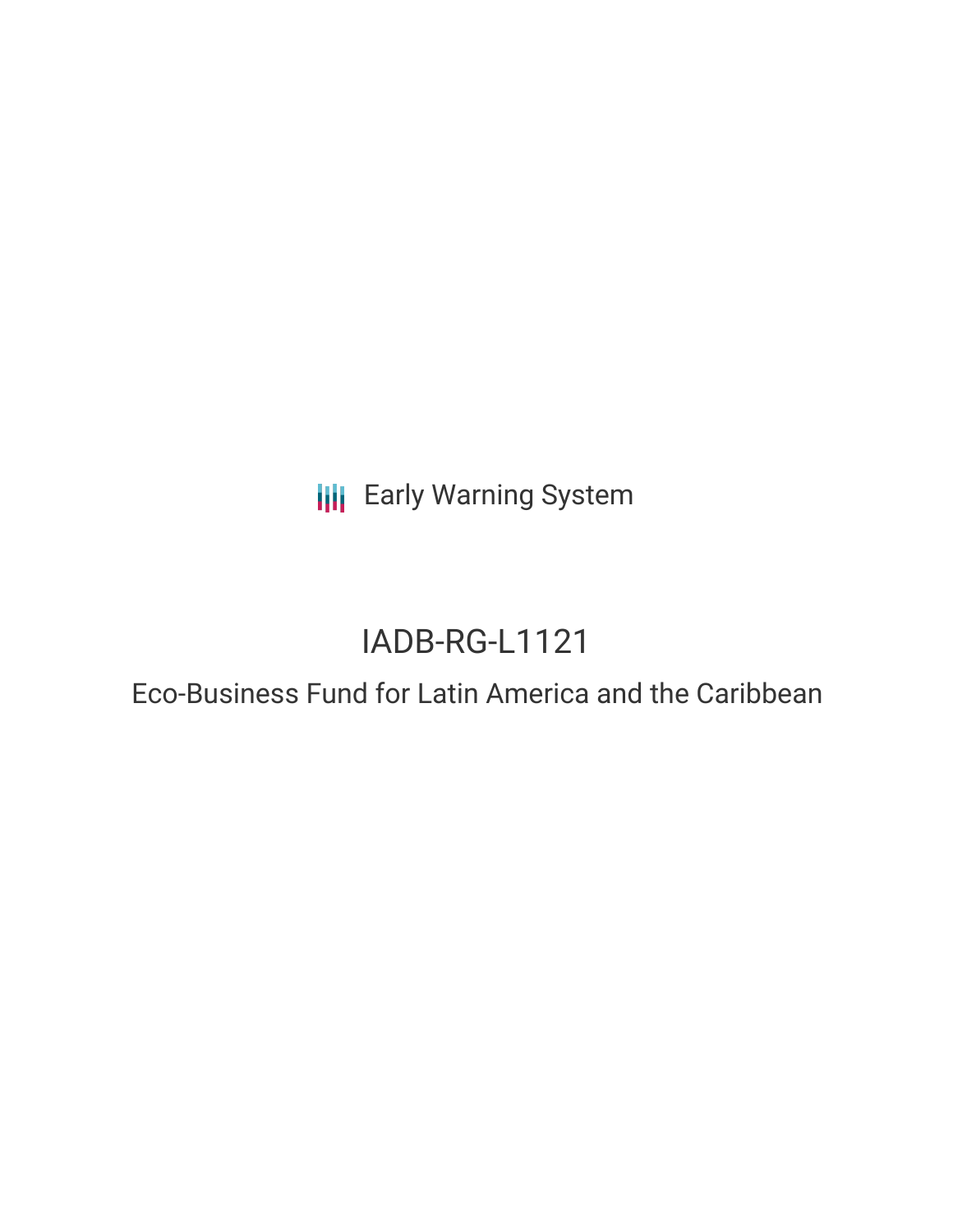**III** Early Warning System

# IADB-RG-L1121

# Eco-Business Fund for Latin America and the Caribbean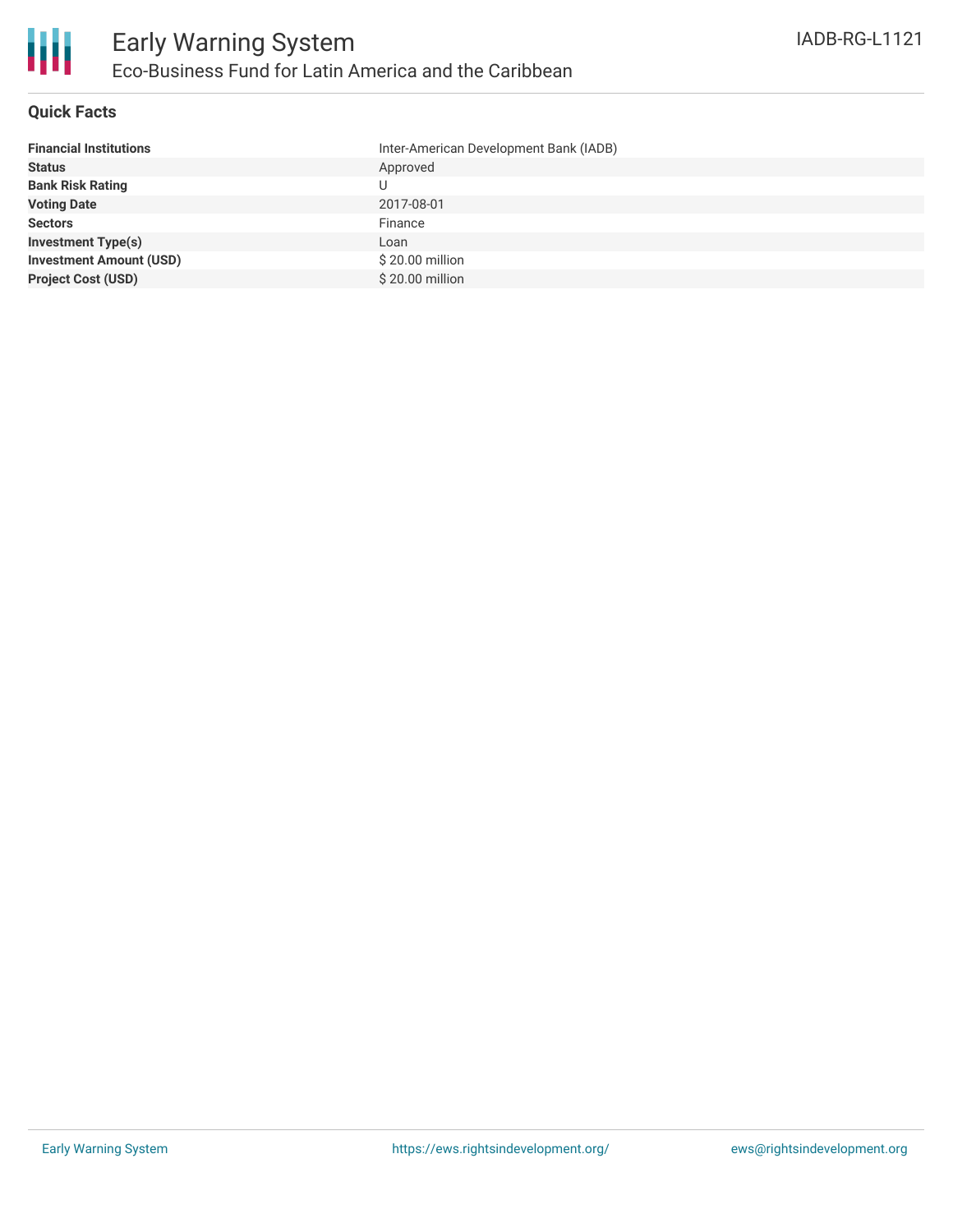### **Quick Facts**

| <b>Financial Institutions</b>  | Inter-American Development Bank (IADB) |
|--------------------------------|----------------------------------------|
| <b>Status</b>                  | Approved                               |
| <b>Bank Risk Rating</b>        | U                                      |
| <b>Voting Date</b>             | 2017-08-01                             |
| <b>Sectors</b>                 | Finance                                |
| <b>Investment Type(s)</b>      | Loan                                   |
| <b>Investment Amount (USD)</b> | \$20.00 million                        |
| <b>Project Cost (USD)</b>      | \$20.00 million                        |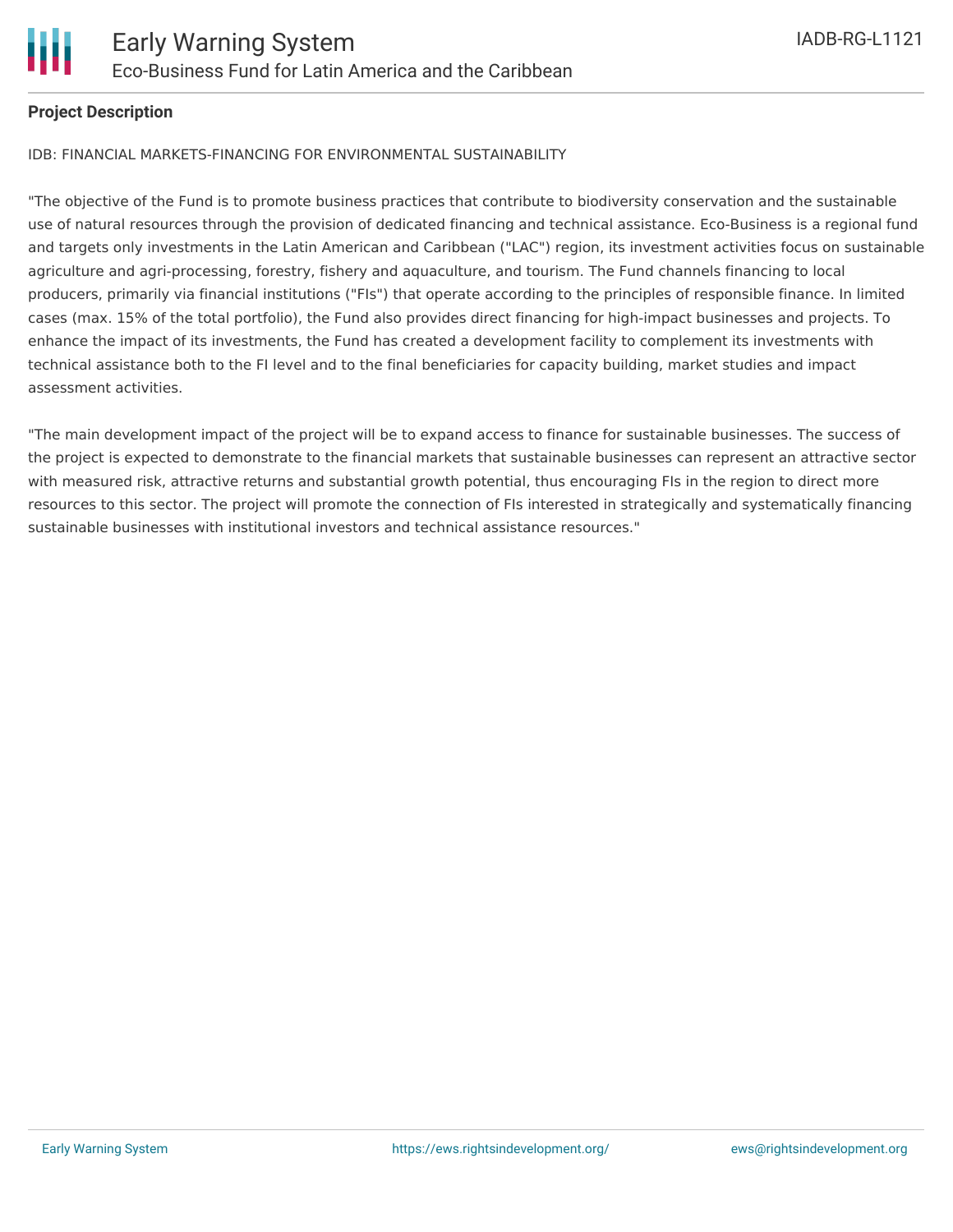

# **Project Description**

#### IDB: FINANCIAL MARKETS-FINANCING FOR ENVIRONMENTAL SUSTAINABILITY

"The objective of the Fund is to promote business practices that contribute to biodiversity conservation and the sustainable use of natural resources through the provision of dedicated financing and technical assistance. Eco-Business is a regional fund and targets only investments in the Latin American and Caribbean ("LAC") region, its investment activities focus on sustainable agriculture and agri-processing, forestry, fishery and aquaculture, and tourism. The Fund channels financing to local producers, primarily via financial institutions ("FIs") that operate according to the principles of responsible finance. In limited cases (max. 15% of the total portfolio), the Fund also provides direct financing for high-impact businesses and projects. To enhance the impact of its investments, the Fund has created a development facility to complement its investments with technical assistance both to the FI level and to the final beneficiaries for capacity building, market studies and impact assessment activities.

"The main development impact of the project will be to expand access to finance for sustainable businesses. The success of the project is expected to demonstrate to the financial markets that sustainable businesses can represent an attractive sector with measured risk, attractive returns and substantial growth potential, thus encouraging FIs in the region to direct more resources to this sector. The project will promote the connection of FIs interested in strategically and systematically financing sustainable businesses with institutional investors and technical assistance resources."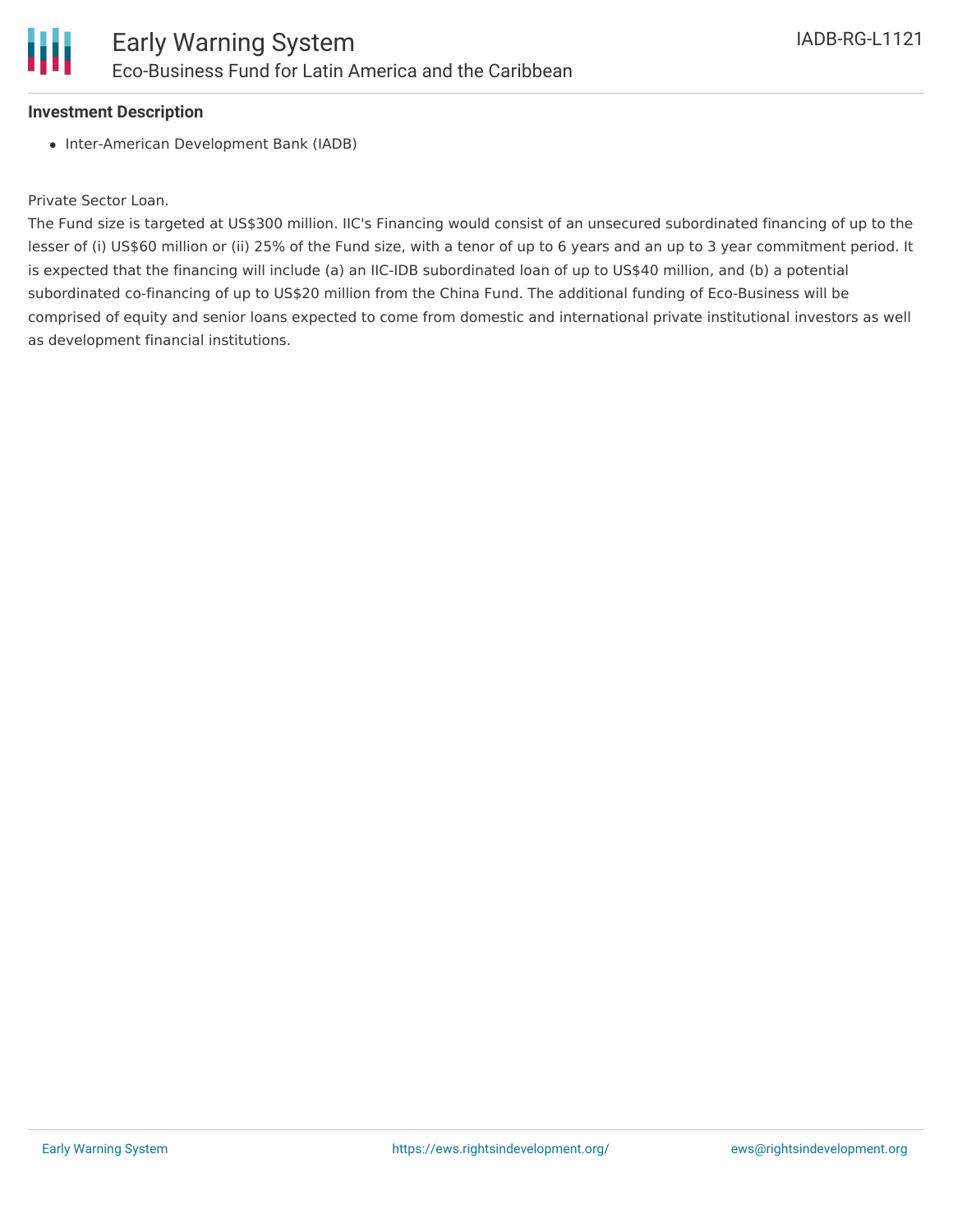

#### **Investment Description**

• Inter-American Development Bank (IADB)

#### Private Sector Loan.

The Fund size is targeted at US\$300 million. IIC's Financing would consist of an unsecured subordinated financing of up to the lesser of (i) US\$60 million or (ii) 25% of the Fund size, with a tenor of up to 6 years and an up to 3 year commitment period. It is expected that the financing will include (a) an IIC-IDB subordinated loan of up to US\$40 million, and (b) a potential subordinated co-financing of up to US\$20 million from the China Fund. The additional funding of Eco-Business will be comprised of equity and senior loans expected to come from domestic and international private institutional investors as well as development financial institutions.